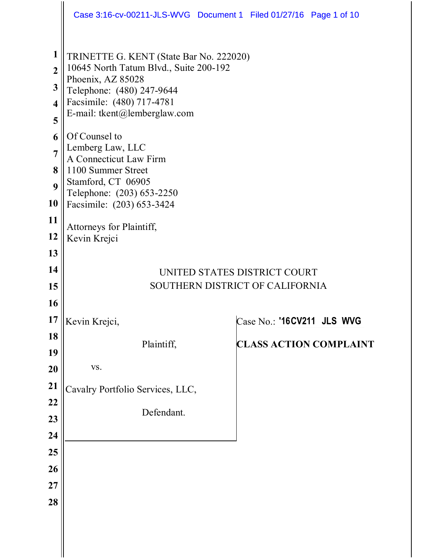|                                                                                                                                                                    | Case 3:16-cv-00211-JLS-WVG Document 1 Filed 01/27/16 Page 1 of 10                                                                                                                                                                                                                                                                                                                                                                                                                    |                               |  |
|--------------------------------------------------------------------------------------------------------------------------------------------------------------------|--------------------------------------------------------------------------------------------------------------------------------------------------------------------------------------------------------------------------------------------------------------------------------------------------------------------------------------------------------------------------------------------------------------------------------------------------------------------------------------|-------------------------------|--|
| $\mathbf{1}$<br>$\overline{2}$<br>$\mathbf{3}$<br>$\overline{\mathbf{4}}$<br>5<br>6<br>$\overline{7}$<br>8<br>$\boldsymbol{9}$<br>10<br>11<br>12<br>13<br>14<br>15 | TRINETTE G. KENT (State Bar No. 222020)<br>10645 North Tatum Blvd., Suite 200-192<br>Phoenix, AZ 85028<br>Telephone: (480) 247-9644<br>Facsimile: (480) 717-4781<br>E-mail: tkent@lemberglaw.com<br>Of Counsel to<br>Lemberg Law, LLC<br>A Connecticut Law Firm<br>1100 Summer Street<br>Stamford, CT 06905<br>Telephone: (203) 653-2250<br>Facsimile: (203) 653-3424<br>Attorneys for Plaintiff,<br>Kevin Krejci<br>UNITED STATES DISTRICT COURT<br>SOUTHERN DISTRICT OF CALIFORNIA |                               |  |
| <b>16</b>                                                                                                                                                          |                                                                                                                                                                                                                                                                                                                                                                                                                                                                                      |                               |  |
|                                                                                                                                                                    | $17$   Kevin Krejci,                                                                                                                                                                                                                                                                                                                                                                                                                                                                 | Case No.: '16CV211 JLS WVG    |  |
| 18<br>19                                                                                                                                                           | Plaintiff,                                                                                                                                                                                                                                                                                                                                                                                                                                                                           | <b>CLASS ACTION COMPLAINT</b> |  |
| <b>20</b>                                                                                                                                                          | VS.                                                                                                                                                                                                                                                                                                                                                                                                                                                                                  |                               |  |
| 21                                                                                                                                                                 | Cavalry Portfolio Services, LLC,                                                                                                                                                                                                                                                                                                                                                                                                                                                     |                               |  |
| 22                                                                                                                                                                 | Defendant.                                                                                                                                                                                                                                                                                                                                                                                                                                                                           |                               |  |
| 23                                                                                                                                                                 |                                                                                                                                                                                                                                                                                                                                                                                                                                                                                      |                               |  |
| 24<br>25                                                                                                                                                           |                                                                                                                                                                                                                                                                                                                                                                                                                                                                                      |                               |  |
| 26                                                                                                                                                                 |                                                                                                                                                                                                                                                                                                                                                                                                                                                                                      |                               |  |
| 27                                                                                                                                                                 |                                                                                                                                                                                                                                                                                                                                                                                                                                                                                      |                               |  |
| 28                                                                                                                                                                 |                                                                                                                                                                                                                                                                                                                                                                                                                                                                                      |                               |  |
|                                                                                                                                                                    |                                                                                                                                                                                                                                                                                                                                                                                                                                                                                      |                               |  |
|                                                                                                                                                                    |                                                                                                                                                                                                                                                                                                                                                                                                                                                                                      |                               |  |
|                                                                                                                                                                    |                                                                                                                                                                                                                                                                                                                                                                                                                                                                                      |                               |  |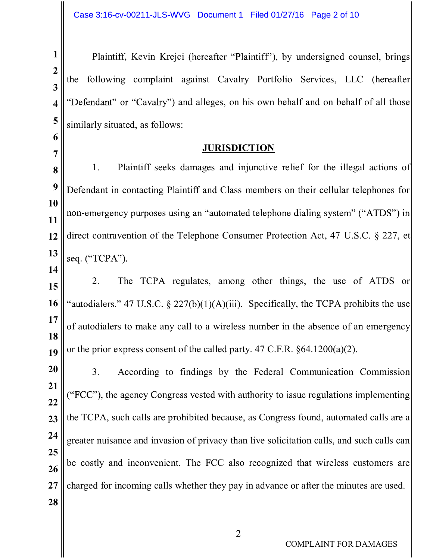1 | Plaintiff, Kevin Krejci (hereafter "Pl  $2 \parallel$  $3 \parallel$  $_4$  || "Defendant" or "Cavalry") and alleges, on his own behalf and on behalf of all those  $5 \parallel$  similarly situated, as follows: the following complaint against Cavalry Portfolio Services, LLC (hereafter

## **JURISDICTION**

 $6 \parallel$ 

 $7 \parallel$ 

14

 $\vert 8 \vert \vert$  1.  $9 \parallel$  Defendant in contacting Plaintiff and Class members on their cellular telephones for 10  $11$ 12 direct contravention of the Telephone Consumer Protection Act, 47 U.S.C. § 227, et  $13$  seq. ("TCPA"). 1. Plaintiff seeks damages and injunctive relief for the illegal actions of non-

 $15$  2. 16 || "autodialers." 47 U.S.C. § 227(b)(1)(A)(iii). Specifically, the TCPA prohibits the use  $17 \parallel$ 18 19 or the prior express consent of the called party. 47 C.F.R.  $\S 64.1200(a)(2)$ . The TCPA regulates, among other things, the use of ATDS or of autodialers to make any call to a wireless number in the absence of an emergency

 $20 \| 3.$ 21  $\|$  ("FCC"), the agency Congress vested with authority to issue regulations implementing 22 23  $\parallel$  the TCPA, such calls are prohibited because, as Congress found, automated calls are a 24  $\parallel$  greater nuisance and invasion of privacy than live solicitation calls, and such calls can 25  $26$   $\parallel$  <sup>oc</sup> costry at 27 charged for incoming calls whether they pay in advance or after the minutes are used. 28 3. According to findings by the Federal Communication Commission be costly and inconvenient. The FCC also recognized that wireless customers are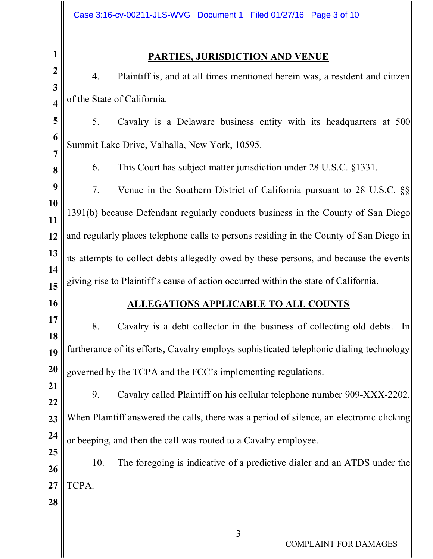## 1 PARTIES, JURISDICTION AND VENUE

 $2 \parallel$   $\frac{1}{4}$  $3 \parallel$  $\vert 4 \vert \vert$  of the State of California. 4. Plaintiff is, and at all times mentioned herein was, a resident and citizen

 $5 \parallel 5$ .  $6\|$ 5. Cavalry is a Delaware business entity with its headquarters at 500 Summit Lake Drive, Valhalla, New York, 10595.

 $7 \parallel$ 

16

 $\| \qquad 6.$ 6. This Court has subject matter jurisdiction under 28 U.S.C. §1331.

 $9|| 7.$ 10  $11$  ||  $1591(0)$  see. 12 || and regularly places telephone calls to persons residing in the County of San Diego in  $13$  its attempts to collect debts allegedly owed by these persons, and because the events 14  $15$  giving rise to Plaintiff's cause of action occurred within the state of California. 7. Venue in the Southern District of California pursuant to 28 U.S.C. §§ 1391(b) because Defendant regularly conducts business in the County of San Diego

## ALLEGATIONS APPLICABLE TO ALL COUNTS

 $17 \| 8.$ 18 19 furtherance of its efforts, Cavalry employs sophisticated telephonic dialing technology 20  $\parallel$  governed by the TCPA and the FCC's implementing regulations. Cavalry is a debt collector in the business of collecting old debts. In

 $21$  | 9. 22 23 When Plaintiff answered the calls, there was a period of silence, an electronic clicking 24  $\parallel$  or beeping, and then the call was routed to a Cavalry employee. 9. Cavalry called Plaintiff on his cellular telephone number 909-XXX-2202.

 $26$  | 10. 27 || TCPA. The foregoing is indicative of a predictive dialer and an ATDS under the

28

25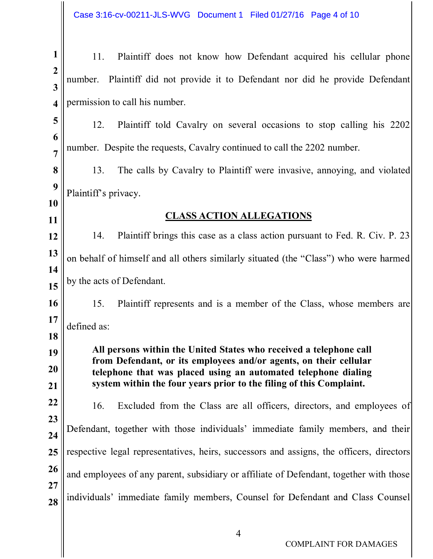Case 3:16-cv-00211-JLS-WVG Document 1 Filed 01/27/16 Page 4 of 10

| 1                                         | Plaintiff does not know how Defendant acquired his cellular phone<br>11.                                                            |  |  |  |  |
|-------------------------------------------|-------------------------------------------------------------------------------------------------------------------------------------|--|--|--|--|
| $\overline{2}$<br>$\overline{\mathbf{3}}$ | Plaintiff did not provide it to Defendant nor did he provide Defendant<br>number.                                                   |  |  |  |  |
| $\overline{\mathbf{4}}$                   | permission to call his number.                                                                                                      |  |  |  |  |
| 5                                         | 12.<br>Plaintiff told Cavalry on several occasions to stop calling his 2202                                                         |  |  |  |  |
| 6<br>$\overline{7}$                       | number. Despite the requests, Cavalry continued to call the 2202 number.                                                            |  |  |  |  |
| 8                                         | The calls by Cavalry to Plaintiff were invasive, annoying, and violated<br>13.                                                      |  |  |  |  |
| 9                                         | Plaintiff's privacy.                                                                                                                |  |  |  |  |
| 10<br>11                                  | <b>CLASS ACTION ALLEGATIONS</b>                                                                                                     |  |  |  |  |
| 12                                        | Plaintiff brings this case as a class action pursuant to Fed. R. Civ. P. 23<br>14.                                                  |  |  |  |  |
| 13                                        | on behalf of himself and all others similarly situated (the "Class") who were harmed                                                |  |  |  |  |
| 14<br>15                                  | by the acts of Defendant.                                                                                                           |  |  |  |  |
| 16                                        | Plaintiff represents and is a member of the Class, whose members are<br>15.                                                         |  |  |  |  |
| 17<br>18                                  | defined as:                                                                                                                         |  |  |  |  |
| 19                                        | All persons within the United States who received a telephone call                                                                  |  |  |  |  |
| 20                                        | from Defendant, or its employees and/or agents, on their cellular<br>telephone that was placed using an automated telephone dialing |  |  |  |  |
| 21<br>22                                  | system within the four years prior to the filing of this Complaint.                                                                 |  |  |  |  |
| 23                                        | Excluded from the Class are all officers, directors, and employees of<br>16.                                                        |  |  |  |  |
| 24                                        | Defendant, together with those individuals' immediate family members, and their                                                     |  |  |  |  |
| 25                                        | respective legal representatives, heirs, successors and assigns, the officers, directors                                            |  |  |  |  |
| 26<br>27                                  | and employees of any parent, subsidiary or affiliate of Defendant, together with those                                              |  |  |  |  |
| 28                                        | individuals' immediate family members, Counsel for Defendant and Class Counsel                                                      |  |  |  |  |
|                                           |                                                                                                                                     |  |  |  |  |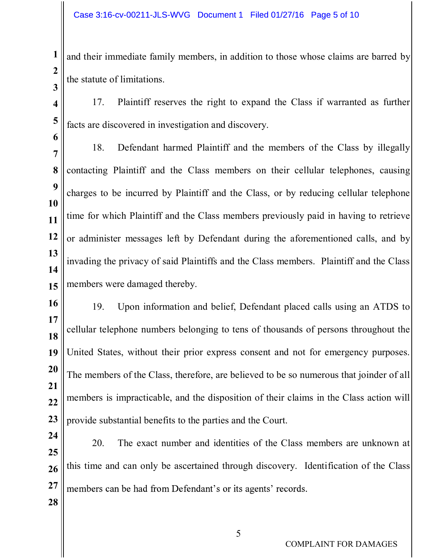$1 \parallel$  and their immediate family members, in addition to those whose claims are barred by  $2 \parallel$  $3 \parallel$ the statute of limitations.

 $4 \parallel 17.$  $5 \parallel$  facts are discovered in investigation and discovery. Plaintiff reserves the right to expand the Class if warranted as further

 $6 \parallel$ 

 $7$   $\parallel$   $^{10}$ 8 | contacting Plaintiff and the Class members on their cellular telephones, causing  $9 \parallel$  changes to be 10  $11$  time for which Plaintiff and the Class members previously paid in having to retrieve 12 or administer messages left by Defendant during the aforementioned calls, and by  $||3||$ 14 15 members were damaged thereby. 18. Defendant harmed Plaintiff and the members of the Class by illegally charges to be incurred by Plaintiff and the Class, or by reducing cellular telephone invading the privacy of said Plaintiffs and the Class members. Plaintiff and the Class

 $16$  |  $19$ 17  $18$ 19 United States, without their prior express consent and not for emergency purposes. 20 The members of the Class, therefore, are believed to be so numerous that joinder of all 21  $22 \text{ }$  members is impracticable, and the disposition of their claims in the Class action will 23  $\parallel$  provide substantial benefits to the parties and the Court. 19. Upon information and belief, Defendant placed calls using an ATDS to cellular telephone numbers belonging to tens of thousands of persons throughout the

 $24$  20. 25  $26$  this time and can only be ascertained through discovery. Identification of the Class  $27$  members can be had from Defendant's or its agents' records. The exact number and identities of the Class members are unknown at

28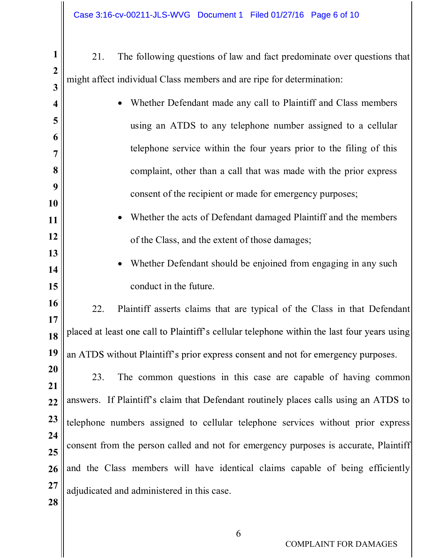- 1 21. The following questions of law and fact predominate over questions that  $2 \parallel$  $3 \parallel$ might affect individual Class members and are ripe for determination:
- $4 \parallel$  $\vert$  5  $\vert$  $6 \parallel$  $7 \parallel$ 8  $9 \parallel$ 10 11 12 13 14 15  $16$  | 22. 17  $\parallel$  18 || placed at least one call to Plaintiff's cellular telephone within the last four years using 19 || an ATDS without Plaintiff's prior express consent and not for emergency purposes.  $20 \|$  23. 21  $22$  answers. If Plaintiff's claim that Defendant routinely places calls using an ATDS to 23 telephone numbers assigned to cellular telephone services without prior express 24  $25$  ||  $\overline{\phantom{a}}$  $26$  and the Class members will have identical claims capable of being efficiently  $27 \parallel$  adjudicated and administered in this case. 28 Whether Defendant made any call to Plaintiff and Class members using an ATDS to any telephone number assigned to a cellular telephone service within the four years prior to the filing of this complaint, other than a call that was made with the prior express consent of the recipient or made for emergency purposes; Whether the acts of Defendant damaged Plaintiff and the members of the Class, and the extent of those damages; Whether Defendant should be enjoined from engaging in any such conduct in the future. Plaintiff asserts claims that are typical of the Class in that Defendant The common questions in this case are capable of having common consent from the person called and not for emergency purposes is accurate, Plaintiff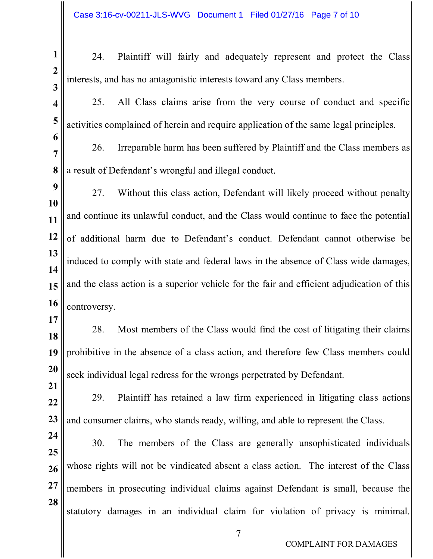17

21

1 24. Plaintiff will fairly and adequately represent and protect the Class  $2 \parallel$  $3 \parallel$   $\parallel$ interests, and has no antagonistic interests toward any Class members.

4 | 25.  $5 \parallel$  activities complained of herein and require application of the same legal principles. All Class claims arise from the very course of conduct and specific

 $6 \parallel$  $7$   $\parallel$   $20$ .  $8 \parallel a$  result of Defendant 26. Irreparable harm has been suffered by Plaintiff and the Class members as

 $9 \parallel 27$ 10  $11$  and continue its unlawful conduct, and the Class would continue to face the potential 12 of additional harm due to Defendant's conduct. Defendant cannot otherwise be  $||3||$ 14 15 || and the class action is a superior vehicle for the fair and efficient adjudication of this  $16$  controversy. 27. Without this class action, Defendant will likely proceed without penalty induced to comply with state and federal laws in the absence of Class wide damages,

 $18$  28. 19 prohibitive in the absence of a class action, and therefore few Class members could  $20 \text{ }$  seek individual legal redress for the wrongs perpetrated by Defendant. Most members of the Class would find the cost of litigating their claims

 $22 \parallel 29.$ 23 || and consumer claims, who stands ready, willing, and able to represent the Class. Plaintiff has retained a law firm experienced in litigating class actions

 $24$  30. 25  $26$  whose rights will not be vindicated absent a class action. The interest of the Class  $27$  members in prosecuting individual claims against Defendant is small, because the 28 The members of the Class are generally unsophisticated individuals statutory damages in an individual claim for violation of privacy is minimal.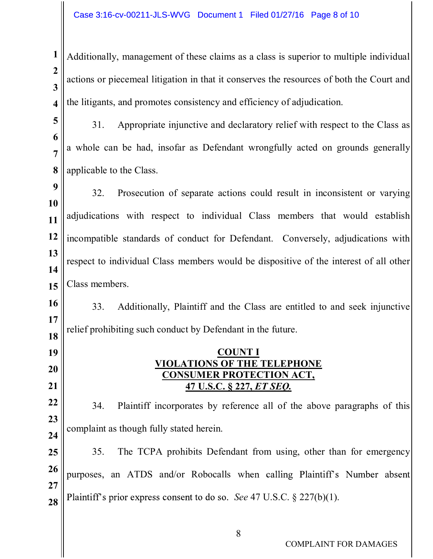$1 \parallel$  Additionally, management of these claims as a class is superior to multiple individual  $2 \parallel$  $3 \parallel$   $\frac{1}{2}$  $\boldsymbol{A} \parallel$  the litigants, and promotes consistency and efficiency of adjudication. actions or piecemeal litigation in that it conserves the resources of both the Court and

 $5 \|$  31.  $6 \parallel$  $7\parallel^{\alpha}$  where can 8 || applicable to the Class. Appropriate injunctive and declaratory relief with respect to the Class as a whole can be had, insofar as Defendant wrongfully acted on grounds generally

 $9 \parallel$  22 10  $11$  adjudications with respect to individual Class members that would establish 12 || incompatible standards of conduct for Defendant. Conversely, adjudications with  $13$  || 14  $15$  Class members. 32. Prosecution of separate actions could result in inconsistent or varying respect to individual Class members would be dispositive of the interest of all other to individual Class members that would establish<br>
mduct for Defendant. Conversely, adjudications with<br>
embers would be dispositive of the interest of all other<br>
intiff and the Class are entitled to and seek injunctive<br>
t b

 $16 \parallel 33.$ 17  $18$ 33. Additionally, Plaintiff and the Class are entitled to and seek injunctive relief prohibiting such conduct by Defendant in the future.

19

20

21

## COUNT I VIOLATIONS OF THE TELEPHONE CONSUMER PROTECTION ACT,

 $22 \parallel 34.$ 23 24 Plaintiff incorporates by reference all of the above paragraphs of this complaint as though fully stated herein.

 $25 \parallel 35.$  $26$  purposes, an ATDS and/or Robocalls when calling Plaintiff's Number abser 27 **28** Plaintiff's prior express consent to do so. See 47 U.S.C. § 227(b)(1). The TCPA prohibits Defendant from using, other than for emergency

COMPLAINT FOR DAMAGES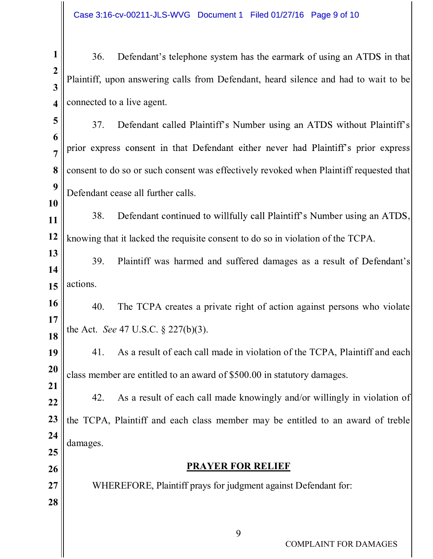$1 \parallel$  36. Defendant's  $2 \parallel$  $3 \parallel$   $\parallel$   $\parallel$  $\vert 4 \vert \vert$  connected to a live agent. Plaintiff, upon answering calls from Defendant, heard silence and had to wait to be

- $5 \|$  37.  $6 \parallel$  $\frac{1}{7}$  prior express consent in that Defendant either never had Plaintiff's prior express 8 || consent to do so or such consent was effectively revoked when Plaintiff requested that ||  $9\|$  Definition Defendant called Plaintiff's Number using an ATDS without Plaintiff's Defendant cease all further calls.
- $11$  38. 12 || knowing that it lacked the requisite consent to do so in violation of the TCPA. Defendant continued to willfully call Plaintiff's Number using an ATDS,

10

21

25

26

28

 $\|$  39 14  $15$  actions. Plaintiff was harmed and suffered damages as a result of Defendant's

 $16 \parallel 40.$ 17  $\left\| \cdot \right\|$  and  $\left\| \cdot \right\|$ The TCPA creates a private right of action against persons who violate the Act. *See* 47 U.S.C. § 227(b)(3).

 $19 \parallel 41.$ 20  $\parallel$  class member are entitled to an award of \$500.00 in statutory damages. As a result of each call made in violation of the TCPA, Plaintiff and each

 $22$  42. 23 the TCPA, Plaintiff and each class member may be entitled to an award of treble  $24$   $\parallel$ As a result of each call made knowingly and/or willingly in violation of damages.

PRAYER FOR RELIEF

27 || WHEREFORE, Plaintiff prays for judgment against Defendant for:

COMPLAINT FOR DAMAGES